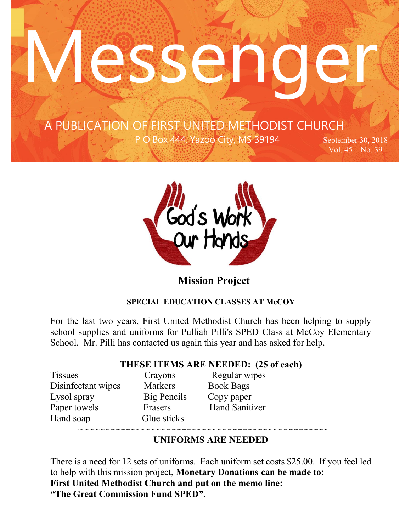# **ASSE**

 …copied A PUBLICATION OF FIRST UNITED METHODIST CHURCH

 $\mathcal{F}^{\text{max}}_{\text{max}}$ 

P O Box 444, Yazoo City, MS 39194 September 30, 2018

Vol. 45 No. 39



## **Mission Project**

#### **SPECIAL EDUCATION CLASSES AT McCOY**

For the last two years, First United Methodist Church has been helping to supply school supplies and uniforms for Pulliah Pilli's SPED Class at McCoy Elementary School. Mr. Pilli has contacted us again this year and has asked for help.

#### **THESE ITEMS ARE NEEDED: (25 of each)**

Tissues Crayons Regular wipes Disinfectant wipes Markers Book Bags Lysol spray Big Pencils Copy paper Paper towels Erasers Hand Sanitizer Hand soap Glue sticks ~~~~~~~~~~~~~~~~~~~~~~~~~~~~~~~~~~~~~~~~~~~~~~~~~

### **UNIFORMS ARE NEEDED**

There is a need for 12 sets of uniforms. Each uniform set costs \$25.00. If you feel led to help with this mission project, **Monetary Donations can be made to: First United Methodist Church and put on the memo line: "The Great Commission Fund SPED".**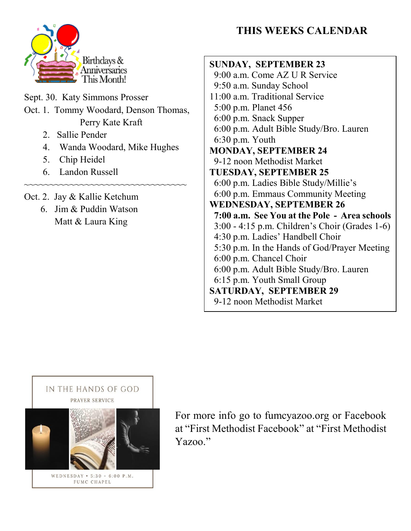# **THIS WEEKS CALENDAR**



Sept. 30. Katy Simmons Prosser Oct. 1. Tommy Woodard, Denson Thomas, Perry Kate Kraft

- 2. Sallie Pender
- 4. Wanda Woodard, Mike Hughes

~~~~~~~~~~~~~~~~~~~~~~~~~~~~~~~~~

- 5. Chip Heidel
- 6. Landon Russell
- Oct. 2. Jay & Kallie Ketchum
	- 6. Jim & Puddin Watson Matt & Laura King

#### **SUNDAY, SEPTEMBER 23** 9:00 a.m. Come AZ U R Service 9:50 a.m. Sunday School 11:00 a.m. Traditional Service 5:00 p.m. Planet 456 6:00 p.m. Snack Supper 6:00 p.m. Adult Bible Study/Bro. Lauren 6:30 p.m. Youth **MONDAY, SEPTEMBER 24** 9-12 noon Methodist Market **TUESDAY, SEPTEMBER 25** 6:00 p.m. Ladies Bible Study/Millie's 6:00 p.m. Emmaus Community Meeting **WEDNESDAY, SEPTEMBER 26 7:00 a.m. See You at the Pole - Area schools** 3:00 - 4:15 p.m. Children's Choir (Grades 1-6) 4:30 p.m. Ladies' Handbell Choir 5:30 p.m. In the Hands of God/Prayer Meeting 6:00 p.m. Chancel Choir 6:00 p.m. Adult Bible Study/Bro. Lauren 6:15 p.m. Youth Small Group **SATURDAY, SEPTEMBER 29** 9-12 noon Methodist Market



For more info go to fumcyazoo.org or Facebook at "First Methodist Facebook" at "First Methodist Yazoo."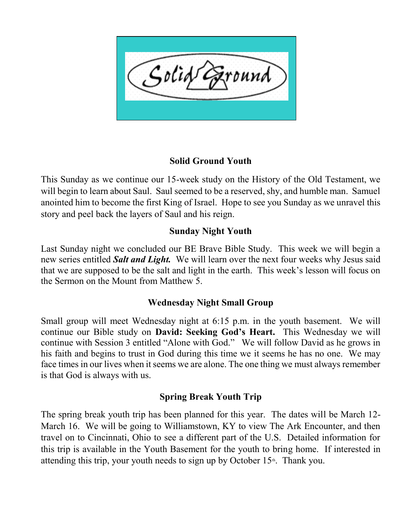

#### **Solid Ground Youth**

This Sunday as we continue our 15-week study on the History of the Old Testament, we will begin to learn about Saul. Saul seemed to be a reserved, shy, and humble man. Samuel anointed him to become the first King of Israel. Hope to see you Sunday as we unravel this story and peel back the layers of Saul and his reign.

#### **Sunday Night Youth**

Last Sunday night we concluded our BE Brave Bible Study. This week we will begin a new series entitled *Salt and Light.* We will learn over the next four weeks why Jesus said that we are supposed to be the salt and light in the earth. This week's lesson will focus on the Sermon on the Mount from Matthew 5.

#### **Wednesday Night Small Group**

Small group will meet Wednesday night at 6:15 p.m. in the youth basement. We will continue our Bible study on **David: Seeking God's Heart.** This Wednesday we will continue with Session 3 entitled "Alone with God." We will follow David as he grows in his faith and begins to trust in God during this time we it seems he has no one. We may face times in our lives when it seems we are alone. The one thing we must always remember is that God is always with us.

#### **Spring Break Youth Trip**

The spring break youth trip has been planned for this year. The dates will be March 12- March 16. We will be going to Williamstown, KY to view The Ark Encounter, and then travel on to Cincinnati, Ohio to see a different part of the U.S. Detailed information for this trip is available in the Youth Basement for the youth to bring home. If interested in attending this trip, your youth needs to sign up by October  $15<sup>th</sup>$ . Thank you.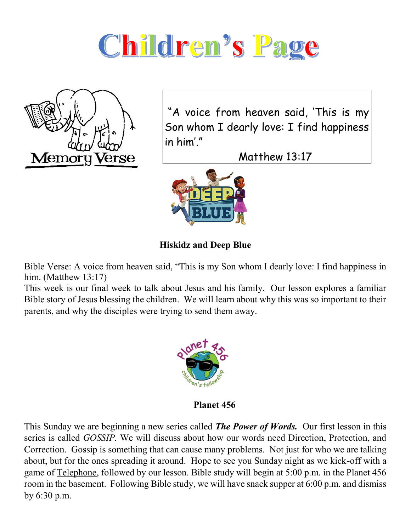



"A voice from heaven said, 'This is my Son whom I dearly love: I find happiness in him'."

Matthew 13:17



**Hiskidz and Deep Blue**

Bible Verse: A voice from heaven said, "This is my Son whom I dearly love: I find happiness in him. (Matthew 13:17)

This week is our final week to talk about Jesus and his family. Our lesson explores a familiar Bible story of Jesus blessing the children. We will learn about why this was so important to their parents, and why the disciples were trying to send them away.



**Planet 456**

This Sunday we are beginning a new series called *The Power of Words.* Our first lesson in this series is called *GOSSIP.* We will discuss about how our words need Direction, Protection, and Correction. Gossip is something that can cause many problems. Not just for who we are talking about, but for the ones spreading it around. Hope to see you Sunday night as we kick-off with a game of Telephone, followed by our lesson. Bible study will begin at 5:00 p.m. in the Planet 456 room in the basement. Following Bible study, we will have snack supper at 6:00 p.m. and dismiss by 6:30 p.m.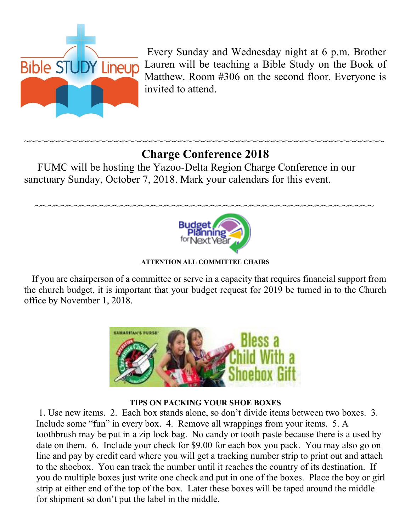

Every Sunday and Wednesday night at 6 p.m. Brother Lauren will be teaching a Bible Study on the Book of Matthew. Room #306 on the second floor. Everyone is invited to attend.

# **Charge Conference 2018**

~~~~~~~~~~~~~~~~~~~~~~~~~~~~~~~~~~~~~~~~~~~~~~~~~~~~

~~~~~~~~~~~~~~~~~~~~~~~~~~~~~~~~~~~~~~~~~~~~~~~~~~~~~~~~~~~~~~

 FUMC will be hosting the Yazoo-Delta Region Charge Conference in our sanctuary Sunday, October 7, 2018. Mark your calendars for this event.



**ATTENTION ALL COMMITTEE CHAIRS**

 If you are chairperson of a committee or serve in a capacity that requires financial support from the church budget, it is important that your budget request for 2019 be turned in to the Church office by November 1, 2018.



#### **TIPS ON PACKING YOUR SHOE BOXES**

1. Use new items. 2. Each box stands alone, so don't divide items between two boxes. 3. Include some "fun" in every box. 4. Remove all wrappings from your items. 5. A toothbrush may be put in a zip lock bag. No candy or tooth paste because there is a used by date on them. 6. Include your check for \$9.00 for each box you pack. You may also go on line and pay by credit card where you will get a tracking number strip to print out and attach to the shoebox. You can track the number until it reaches the country of its destination. If you do multiple boxes just write one check and put in one of the boxes. Place the boy or girl strip at either end of the top of the box. Later these boxes will be taped around the middle for shipment so don't put the label in the middle.